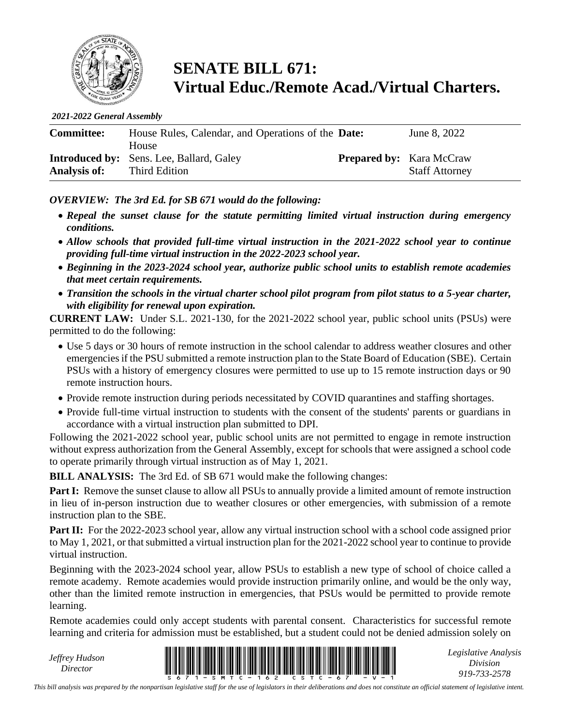

## **SENATE BILL 671: Virtual Educ./Remote Acad./Virtual Charters.**

*2021-2022 General Assembly*

| <b>Committee:</b>   | House Rules, Calendar, and Operations of the <b>Date:</b> | June 8, 2022                    |
|---------------------|-----------------------------------------------------------|---------------------------------|
|                     | House                                                     |                                 |
|                     | <b>Introduced by:</b> Sens. Lee, Ballard, Galey           | <b>Prepared by:</b> Kara McCraw |
| <b>Analysis of:</b> | Third Edition                                             | <b>Staff Attorney</b>           |

## *OVERVIEW: The 3rd Ed. for SB 671 would do the following:*

- *Repeal the sunset clause for the statute permitting limited virtual instruction during emergency conditions.*
- *Allow schools that provided full-time virtual instruction in the 2021-2022 school year to continue providing full-time virtual instruction in the 2022-2023 school year.*
- *Beginning in the 2023-2024 school year, authorize public school units to establish remote academies that meet certain requirements.*
- *Transition the schools in the virtual charter school pilot program from pilot status to a 5-year charter, with eligibility for renewal upon expiration.*

**CURRENT LAW:** Under S.L. 2021-130, for the 2021-2022 school year, public school units (PSUs) were permitted to do the following:

- Use 5 days or 30 hours of remote instruction in the school calendar to address weather closures and other emergencies if the PSU submitted a remote instruction plan to the State Board of Education (SBE). Certain PSUs with a history of emergency closures were permitted to use up to 15 remote instruction days or 90 remote instruction hours.
- Provide remote instruction during periods necessitated by COVID quarantines and staffing shortages.
- Provide full-time virtual instruction to students with the consent of the students' parents or guardians in accordance with a virtual instruction plan submitted to DPI.

Following the 2021-2022 school year, public school units are not permitted to engage in remote instruction without express authorization from the General Assembly, except for schools that were assigned a school code to operate primarily through virtual instruction as of May 1, 2021.

**BILL ANALYSIS:** The 3rd Ed. of SB 671 would make the following changes:

**Part I:** Remove the sunset clause to allow all PSUs to annually provide a limited amount of remote instruction in lieu of in-person instruction due to weather closures or other emergencies, with submission of a remote instruction plan to the SBE.

**Part II:** For the 2022-2023 school year, allow any virtual instruction school with a school code assigned prior to May 1, 2021, or that submitted a virtual instruction plan for the 2021-2022 school year to continue to provide virtual instruction.

Beginning with the 2023-2024 school year, allow PSUs to establish a new type of school of choice called a remote academy. Remote academies would provide instruction primarily online, and would be the only way, other than the limited remote instruction in emergencies, that PSUs would be permitted to provide remote learning.

Remote academies could only accept students with parental consent. Characteristics for successful remote learning and criteria for admission must be established, but a student could not be denied admission solely on

*Jeffrey Hudson*



*Legislative Analysis Division 919-733-2578*

*This bill analysis was prepared by the nonpartisan legislative staff for the use of legislators in their deliberations and does not constitute an official statement of legislative intent.*